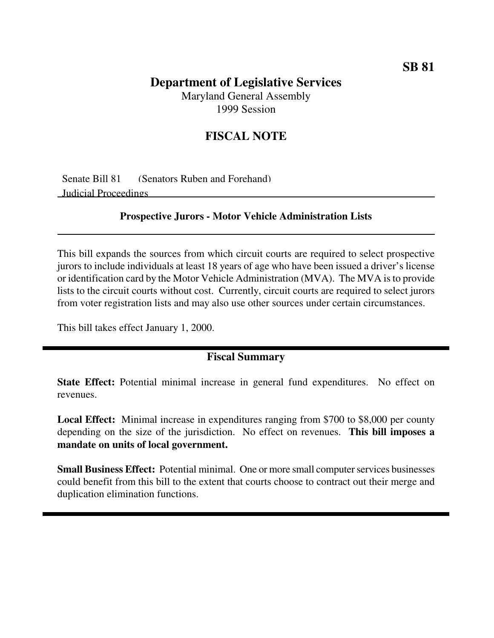# **Department of Legislative Services**

Maryland General Assembly 1999 Session

## **FISCAL NOTE**

Senate Bill 81 (Senators Ruben and Forehand) Judicial Proceedings

#### **Prospective Jurors - Motor Vehicle Administration Lists**

This bill expands the sources from which circuit courts are required to select prospective jurors to include individuals at least 18 years of age who have been issued a driver's license or identification card by the Motor Vehicle Administration (MVA). The MVA isto provide lists to the circuit courts without cost. Currently, circuit courts are required to select jurors from voter registration lists and may also use other sources under certain circumstances.

This bill takes effect January 1, 2000.

### **Fiscal Summary**

**State Effect:** Potential minimal increase in general fund expenditures. No effect on revenues.

**Local Effect:** Minimal increase in expenditures ranging from \$700 to \$8,000 per county depending on the size of the jurisdiction. No effect on revenues. **This bill imposes a mandate on units of local government.**

**Small Business Effect:** Potential minimal. One or more small computer services businesses could benefit from this bill to the extent that courts choose to contract out their merge and duplication elimination functions.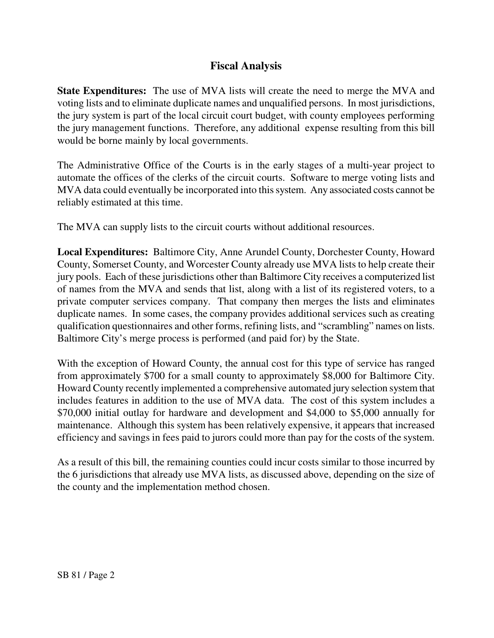## **Fiscal Analysis**

**State Expenditures:** The use of MVA lists will create the need to merge the MVA and voting lists and to eliminate duplicate names and unqualified persons. In most jurisdictions, the jury system is part of the local circuit court budget, with county employees performing the jury management functions. Therefore, any additional expense resulting from this bill would be borne mainly by local governments.

The Administrative Office of the Courts is in the early stages of a multi-year project to automate the offices of the clerks of the circuit courts. Software to merge voting lists and MVA data could eventually be incorporated into this system. Any associated costs cannot be reliably estimated at this time.

The MVA can supply lists to the circuit courts without additional resources.

**Local Expenditures:** Baltimore City, Anne Arundel County, Dorchester County, Howard County, Somerset County, and Worcester County already use MVA lists to help create their jury pools. Each of these jurisdictions other than Baltimore City receives a computerized list of names from the MVA and sends that list, along with a list of its registered voters, to a private computer services company. That company then merges the lists and eliminates duplicate names. In some cases, the company provides additional services such as creating qualification questionnaires and other forms, refining lists, and "scrambling" names on lists. Baltimore City's merge process is performed (and paid for) by the State.

With the exception of Howard County, the annual cost for this type of service has ranged from approximately \$700 for a small county to approximately \$8,000 for Baltimore City. Howard County recently implemented a comprehensive automated jury selection system that includes features in addition to the use of MVA data. The cost of this system includes a \$70,000 initial outlay for hardware and development and \$4,000 to \$5,000 annually for maintenance. Although this system has been relatively expensive, it appears that increased efficiency and savings in fees paid to jurors could more than pay for the costs of the system.

As a result of this bill, the remaining counties could incur costs similar to those incurred by the 6 jurisdictions that already use MVA lists, as discussed above, depending on the size of the county and the implementation method chosen.